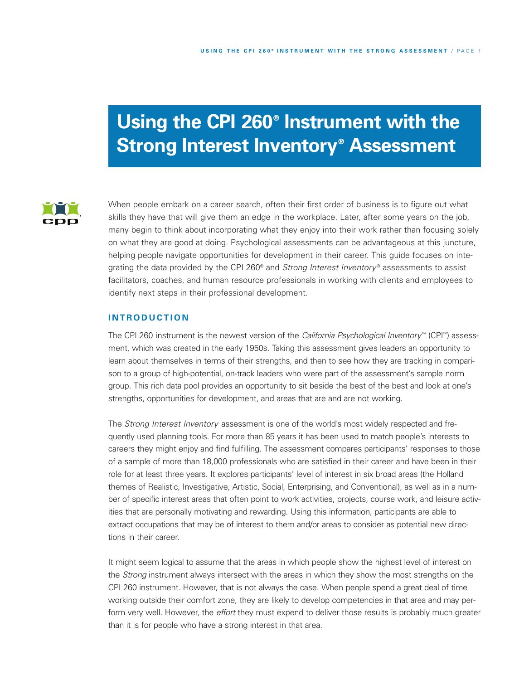# **Using the CPI 260® Instrument with the Strong Interest Inventory® Assessment**



When people embark on a career search, often their first order of business is to figure out what skills they have that will give them an edge in the workplace. Later, after some years on the job, many begin to think about incorporating what they enjoy into their work rather than focusing solely on what they are good at doing. Psychological assessments can be advantageous at this juncture, helping people navigate opportunities for development in their career. This guide focuses on integrating the data provided by the CPI 260® and *Strong Interest Inventory* ® assessments to assist facilitators, coaches, and human resource professionals in working with clients and employees to identify next steps in their professional development.

## **I N TR O D U C T I O N**

The CPI 260 instrument is the newest version of the *California Psychological Inventory* ™ (CPI ™) assessment, which was created in the early 1950s. Taking this assessment gives leaders an opportunity to learn about themselves in terms of their strengths, and then to see how they are tracking in comparison to a group of high-potential, on-track leaders who were part of the assessment's sample norm group. This rich data pool provides an opportunity to sit beside the best of the best and look at one's strengths, opportunities for development, and areas that are and are not working.

The *Strong Interest Inventory* assessment is one of the world's most widely respected and frequently used planning tools. For more than 85 years it has been used to match people's interests to careers they might enjoy and find fulfilling. The assessment compares participants' responses to those of a sample of more than 18,000 professionals who are satisfied in their career and have been in their role for at least three years. It explores participants' level of interest in six broad areas (the Holland themes of Realistic, Investigative, Artistic, Social, Enterprising, and Conventional), as well as in a number of specific interest areas that often point to work activities, projects, course work, and leisure activities that are personally motivating and rewarding. Using this information, participants are able to extract occupations that may be of interest to them and/or areas to consider as potential new directions in their career.

It might seem logical to assume that the areas in which people show the highest level of interest on the *Strong* instrument always intersect with the areas in which they show the most strengths on the CPI 260 instrument. However, that is not always the case. When people spend a great deal of time working outside their comfort zone, they are likely to develop competencies in that area and may perform very well. However, the *effort* they must expend to deliver those results is probably much greater than it is for people who have a strong interest in that area.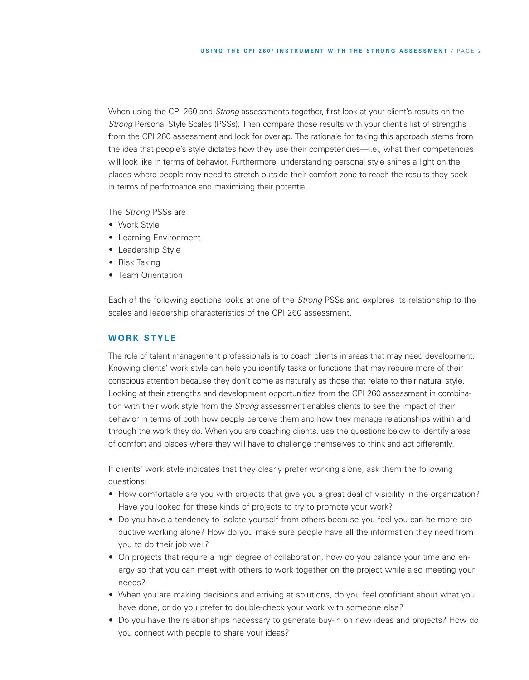When using the CPI 260 and *Strong* assessments together, first look at your client's results on the *Strong* Personal Style Scales (PSSs). Then compare those results with your client's list of strengths from the CPI 260 assessment and look for overlap. The rationale for taking this approach stems from the idea that people's style dictates how they use their competencies—i.e., what their competencies will look like in terms of behavior. Furthermore, understanding personal style shines a light on the places where people may need to stretch outside their comfort zone to reach the results they seek in terms of performance and maximizing their potential.

The *Strong* PSSs are

- Work Style
- Learning Environment
- Leadership Style
- Risk Taking
- Team Orientation

Each of the following sections looks at one of the *Strong* PSSs and explores its relationship to the scales and leadership characteristics of the CPI 260 assessment.

## **W O R K S TY L E**

The role of talent management professionals is to coach clients in areas that may need development. Knowing clients' work style can help you identify tasks or functions that may require more of their conscious attention because they don't come as naturally as those that relate to their natural style. Looking at their strengths and development opportunities from the CPI 260 assessment in combination with their work style from the *Strong* assessment enables clients to see the impact of their behavior in terms of both how people perceive them and how they manage relationships within and through the work they do. When you are coaching clients, use the questions below to identify areas of comfort and places where they will have to challenge themselves to think and act differently.

If clients' work style indicates that they clearly prefer working alone, ask them the following questions:

- How comfortable are you with projects that give you a great deal of visibility in the organization? Have you looked for these kinds of projects to try to promote your work?
- Do you have a tendency to isolate yourself from others because you feel you can be more productive working alone? How do you make sure people have all the information they need from you to do their job well?
- On projects that require a high degree of collaboration, how do you balance your time and energy so that you can meet with others to work together on the project while also meeting your needs?
- When you are making decisions and arriving at solutions, do you feel confident about what you have done, or do you prefer to double-check your work with someone else?
- Do you have the relationships necessary to generate buy-in on new ideas and projects? How do you connect with people to share your ideas?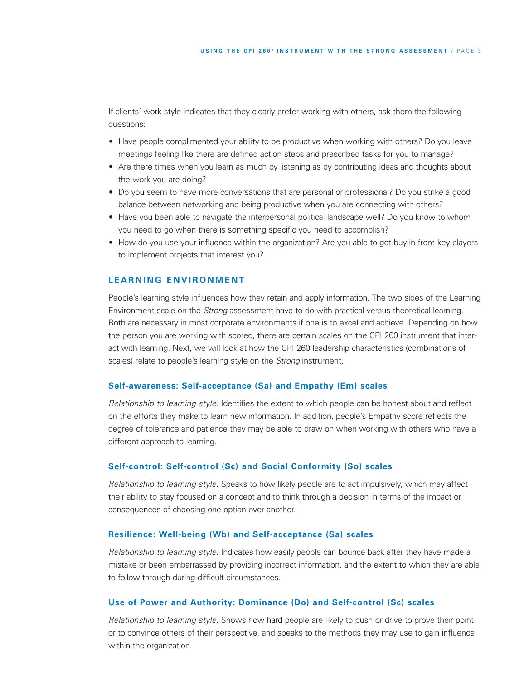If clients' work style indicates that they clearly prefer working with others, ask them the following questions:

- Have people complimented your ability to be productive when working with others? Do you leave meetings feeling like there are defined action steps and prescribed tasks for you to manage?
- Are there times when you learn as much by listening as by contributing ideas and thoughts about the work you are doing?
- Do you seem to have more conversations that are personal or professional? Do you strike a good balance between networking and being productive when you are connecting with others?
- Have you been able to navigate the interpersonal political landscape well? Do you know to whom you need to go when there is something specific you need to accomplish?
- How do you use your influence within the organization? Are you able to get buy-in from key players to implement projects that interest you?

## **L E A R N I N G E N V IR O N M E N T**

People's learning style influences how they retain and apply information. The two sides of the Learning Environment scale on the *Strong* assessment have to do with practical versus theoretical learning. Both are necessary in most corporate environments if one is to excel and achieve. Depending on how the person you are working with scored, there are certain scales on the CPI 260 instrument that interact with learning. Next, we will look at how the CPI 260 leadership characteristics (combinations of scales) relate to people's learning style on the *Strong* instrument.

#### **Self-awareness: Self-acceptance (Sa) and Empathy (Em) scales**

*Relationship to learning style:* Identifies the extent to which people can be honest about and reflect on the efforts they make to learn new information. In addition, people's Empathy score reflects the degree of tolerance and patience they may be able to draw on when working with others who have a different approach to learning.

#### **Self-control: Self-control (Sc) and Social Conformity (So) scales**

*Relationship to learning style:* Speaks to how likely people are to act impulsively, which may affect their ability to stay focused on a concept and to think through a decision in terms of the impact or consequences of choosing one option over another.

#### **Resilience: Well-being (Wb) and Self-acceptance (Sa) scales**

*Relationship to learning style:* Indicates how easily people can bounce back after they have made a mistake or been embarrassed by providing incorrect information, and the extent to which they are able to follow through during difficult circumstances.

#### **Use of Power and Authority: Dominance (Do) and Self-control (Sc) scales**

*Relationship to learning style:* Shows how hard people are likely to push or drive to prove their point or to convince others of their perspective, and speaks to the methods they may use to gain influence within the organization.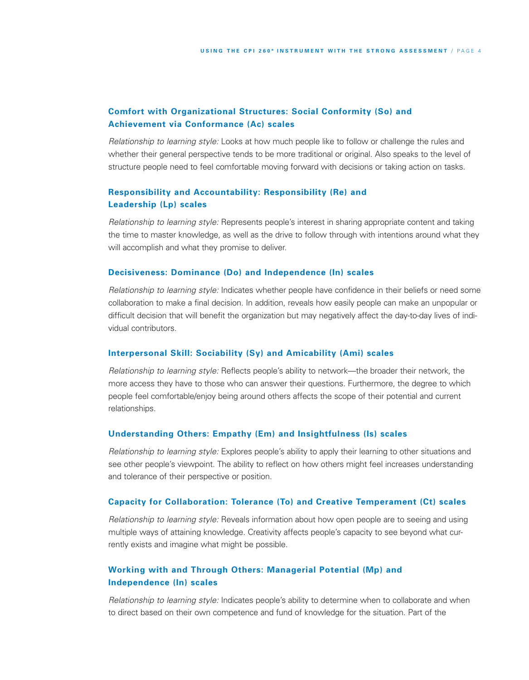# **Comfort with Organizational Structures: Social Conformity (So) and Achievement via Conformance (Ac) scales**

*Relationship to learning style:* Looks at how much people like to follow or challenge the rules and whether their general perspective tends to be more traditional or original. Also speaks to the level of structure people need to feel comfortable moving forward with decisions or taking action on tasks.

# **Responsibility and Accountability: Responsibility (Re) and Leadership (Lp) scales**

*Relationship to learning style:* Represents people's interest in sharing appropriate content and taking the time to master knowledge, as well as the drive to follow through with intentions around what they will accomplish and what they promise to deliver.

## **Decisiveness: Dominance (Do) and Independence (In) scales**

*Relationship to learning style:* Indicates whether people have confidence in their beliefs or need some collaboration to make a final decision. In addition, reveals how easily people can make an unpopular or difficult decision that will benefit the organization but may negatively affect the day-to-day lives of individual contributors.

#### **Interpersonal Skill: Sociability (Sy) and Amicability (Ami) scales**

*Relationship to learning style:* Reflects people's ability to network—the broader their network, the more access they have to those who can answer their questions. Furthermore, the degree to which people feel comfortable/enjoy being around others affects the scope of their potential and current relationships.

#### **Understanding Others: Empathy (Em) and Insightfulness (Is) scales**

*Relationship to learning style:* Explores people's ability to apply their learning to other situations and see other people's viewpoint. The ability to reflect on how others might feel increases understanding and tolerance of their perspective or position.

#### **Capacity for Collaboration: Tolerance (To) and Creative Temperament (Ct) scales**

*Relationship to learning style:* Reveals information about how open people are to seeing and using multiple ways of attaining knowledge. Creativity affects people's capacity to see beyond what currently exists and imagine what might be possible.

# **Working with and Through Others: Managerial Potential (Mp) and Independence (In) scales**

*Relationship to learning style:* Indicates people's ability to determine when to collaborate and when to direct based on their own competence and fund of knowledge for the situation. Part of the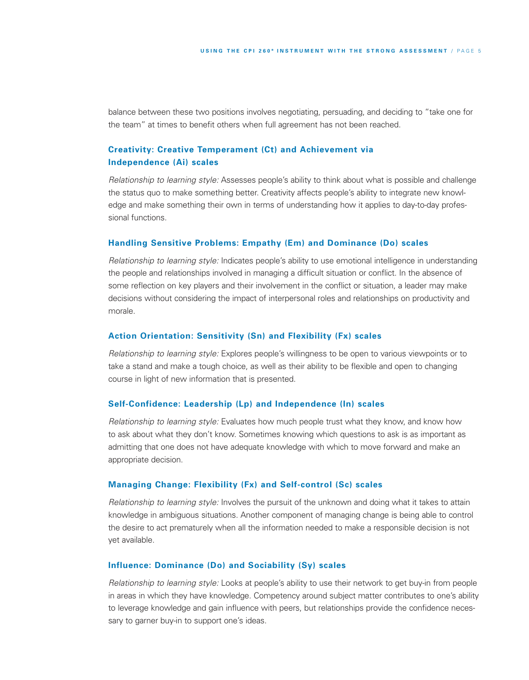balance between these two positions involves negotiating, persuading, and deciding to "take one for the team" at times to benefit others when full agreement has not been reached.

# **Creativity: Creative Temperament (Ct) and Achievement via Independence (Ai) scales**

*Relationship to learning style:* Assesses people's ability to think about what is possible and challenge the status quo to make something better. Creativity affects people's ability to integrate new knowledge and make something their own in terms of understanding how it applies to day-to-day professional functions.

## **Handling Sensitive Problems: Empathy (Em) and Dominance (Do) scales**

*Relationship to learning style:* Indicates people's ability to use emotional intelligence in understanding the people and relationships involved in managing a difficult situation or conflict. In the absence of some reflection on key players and their involvement in the conflict or situation, a leader may make decisions without considering the impact of interpersonal roles and relationships on productivity and morale.

## **Action Orientation: Sensitivity (Sn) and Flexibility (Fx) scales**

*Relationship to learning style:* Explores people's willingness to be open to various viewpoints or to take a stand and make a tough choice, as well as their ability to be flexible and open to changing course in light of new information that is presented.

#### **Self-Confidence: Leadership (Lp) and Independence (In) scales**

*Relationship to learning style:* Evaluates how much people trust what they know, and know how to ask about what they don't know. Sometimes knowing which questions to ask is as important as admitting that one does not have adequate knowledge with which to move forward and make an appropriate decision.

#### **Managing Change: Flexibility (Fx) and Self-control (Sc) scales**

*Relationship to learning style:* Involves the pursuit of the unknown and doing what it takes to attain knowledge in ambiguous situations. Another component of managing change is being able to control the desire to act prematurely when all the information needed to make a responsible decision is not yet available.

## **Influence: Dominance (Do) and Sociability (Sy) scales**

*Relationship to learning style:* Looks at people's ability to use their network to get buy-in from people in areas in which they have knowledge. Competency around subject matter contributes to one's ability to leverage knowledge and gain influence with peers, but relationships provide the confidence necessary to garner buy-in to support one's ideas.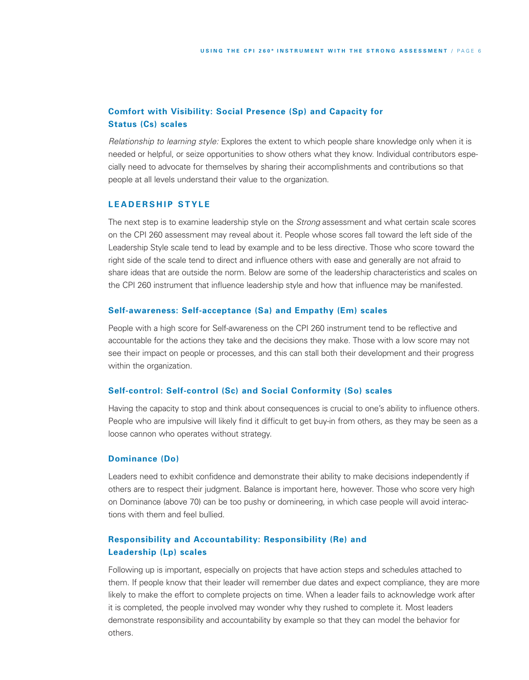# **Comfort with Visibility: Social Presence (Sp) and Capacity for Status (Cs) scales**

*Relationship to learning style:* Explores the extent to which people share knowledge only when it is needed or helpful, or seize opportunities to show others what they know. Individual contributors especially need to advocate for themselves by sharing their accomplishments and contributions so that people at all levels understand their value to the organization.

## **LEADERSHIP STYLE**

The next step is to examine leadership style on the *Strong* assessment and what certain scale scores on the CPI 260 assessment may reveal about it. People whose scores fall toward the left side of the Leadership Style scale tend to lead by example and to be less directive. Those who score toward the right side of the scale tend to direct and influence others with ease and generally are not afraid to share ideas that are outside the norm. Below are some of the leadership characteristics and scales on the CPI 260 instrument that influence leadership style and how that influence may be manifested.

## **Self-awareness: Self-acceptance (Sa) and Empathy (Em) scales**

People with a high score for Self-awareness on the CPI 260 instrument tend to be reflective and accountable for the actions they take and the decisions they make. Those with a low score may not see their impact on people or processes, and this can stall both their development and their progress within the organization.

#### **Self-control: Self-control (Sc) and Social Conformity (So) scales**

Having the capacity to stop and think about consequences is crucial to one's ability to influence others. People who are impulsive will likely find it difficult to get buy-in from others, as they may be seen as a loose cannon who operates without strategy.

#### **Dominance (Do)**

Leaders need to exhibit confidence and demonstrate their ability to make decisions independently if others are to respect their judgment. Balance is important here, however. Those who score very high on Dominance (above 70) can be too pushy or domineering, in which case people will avoid interactions with them and feel bullied.

# **Responsibility and Accountability: Responsibility (Re) and Leadership (Lp) scales**

Following up is important, especially on projects that have action steps and schedules attached to them. If people know that their leader will remember due dates and expect compliance, they are more likely to make the effort to complete projects on time. When a leader fails to acknowledge work after it is completed, the people involved may wonder why they rushed to complete it. Most leaders demonstrate responsibility and accountability by example so that they can model the behavior for others.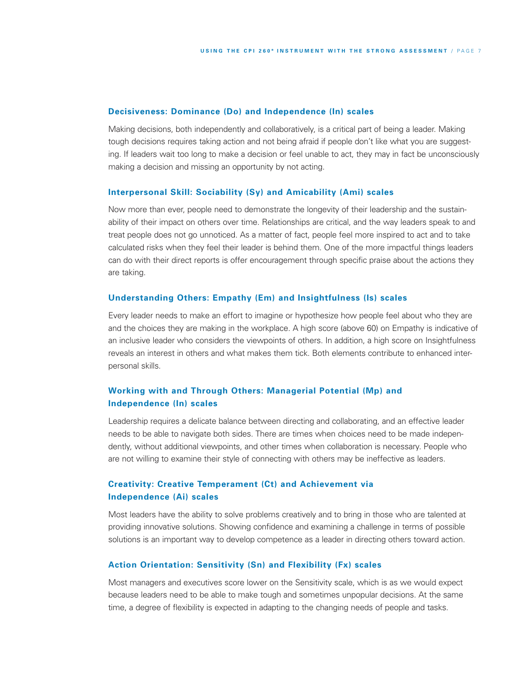#### **Decisiveness: Dominance (Do) and Independence (In) scales**

Making decisions, both independently and collaboratively, is a critical part of being a leader. Making tough decisions requires taking action and not being afraid if people don't like what you are suggesting. If leaders wait too long to make a decision or feel unable to act, they may in fact be unconsciously making a decision and missing an opportunity by not acting.

#### **Interpersonal Skill: Sociability (Sy) and Amicability (Ami) scales**

Now more than ever, people need to demonstrate the longevity of their leadership and the sustainability of their impact on others over time. Relationships are critical, and the way leaders speak to and treat people does not go unnoticed. As a matter of fact, people feel more inspired to act and to take calculated risks when they feel their leader is behind them. One of the more impactful things leaders can do with their direct reports is offer encouragement through specific praise about the actions they are taking.

## **Understanding Others: Empathy (Em) and Insightfulness (Is) scales**

Every leader needs to make an effort to imagine or hypothesize how people feel about who they are and the choices they are making in the workplace. A high score (above 60) on Empathy is indicative of an inclusive leader who considers the viewpoints of others. In addition, a high score on Insightfulness reveals an interest in others and what makes them tick. Both elements contribute to enhanced interpersonal skills.

# **Working with and Through Others: Managerial Potential (Mp) and Independence (In) scales**

Leadership requires a delicate balance between directing and collaborating, and an effective leader needs to be able to navigate both sides. There are times when choices need to be made independently, without additional viewpoints, and other times when collaboration is necessary. People who are not willing to examine their style of connecting with others may be ineffective as leaders.

# **Creativity: Creative Temperament (Ct) and Achievement via Independence (Ai) scales**

Most leaders have the ability to solve problems creatively and to bring in those who are talented at providing innovative solutions. Showing confidence and examining a challenge in terms of possible solutions is an important way to develop competence as a leader in directing others toward action.

## **Action Orientation: Sensitivity (Sn) and Flexibility (Fx) scales**

Most managers and executives score lower on the Sensitivity scale, which is as we would expect because leaders need to be able to make tough and sometimes unpopular decisions. At the same time, a degree of flexibility is expected in adapting to the changing needs of people and tasks.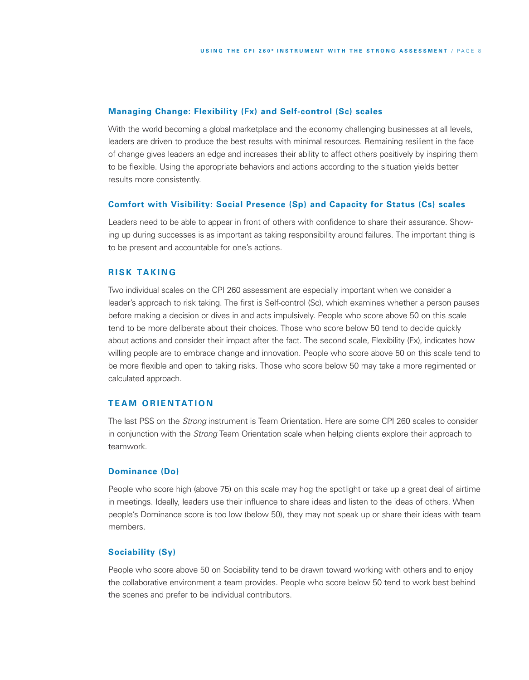## **Managing Change: Flexibility (Fx) and Self-control (Sc) scales**

With the world becoming a global marketplace and the economy challenging businesses at all levels, leaders are driven to produce the best results with minimal resources. Remaining resilient in the face of change gives leaders an edge and increases their ability to affect others positively by inspiring them to be flexible. Using the appropriate behaviors and actions according to the situation yields better results more consistently.

#### **Comfort with Visibility: Social Presence (Sp) and Capacity for Status (Cs) scales**

Leaders need to be able to appear in front of others with confidence to share their assurance. Showing up during successes is as important as taking responsibility around failures. The important thing is to be present and accountable for one's actions.

## **R IS K TA K I N G**

Two individual scales on the CPI 260 assessment are especially important when we consider a leader's approach to risk taking. The first is Self-control (Sc), which examines whether a person pauses before making a decision or dives in and acts impulsively. People who score above 50 on this scale tend to be more deliberate about their choices. Those who score below 50 tend to decide quickly about actions and consider their impact after the fact. The second scale, Flexibility (Fx), indicates how willing people are to embrace change and innovation. People who score above 50 on this scale tend to be more flexible and open to taking risks. Those who score below 50 may take a more regimented or calculated approach.

#### $TEAM$  ORIENTATION

The last PSS on the *Strong* instrument is Team Orientation. Here are some CPI 260 scales to consider in conjunction with the *Strong* Team Orientation scale when helping clients explore their approach to teamwork.

#### **Dominance (Do)**

People who score high (above 75) on this scale may hog the spotlight or take up a great deal of airtime in meetings. Ideally, leaders use their influence to share ideas and listen to the ideas of others. When people's Dominance score is too low (below 50), they may not speak up or share their ideas with team members.

#### **Sociability (Sy)**

People who score above 50 on Sociability tend to be drawn toward working with others and to enjoy the collaborative environment a team provides. People who score below 50 tend to work best behind the scenes and prefer to be individual contributors.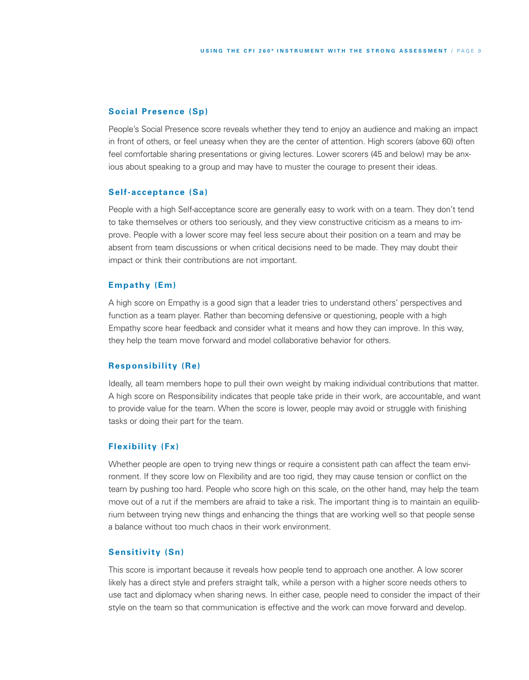## **Social Presence (Sp)**

People's Social Presence score reveals whether they tend to enjoy an audience and making an impact in front of others, or feel uneasy when they are the center of attention. High scorers (above 60) often feel comfortable sharing presentations or giving lectures. Lower scorers (45 and below) may be anxious about speaking to a group and may have to muster the courage to present their ideas.

## **Self-acceptance (Sa)**

People with a high Self-acceptance score are generally easy to work with on a team. They don't tend to take themselves or others too seriously, and they view constructive criticism as a means to improve. People with a lower score may feel less secure about their position on a team and may be absent from team discussions or when critical decisions need to be made. They may doubt their impact or think their contributions are not important.

#### **Empathy (Em)**

A high score on Empathy is a good sign that a leader tries to understand others' perspectives and function as a team player. Rather than becoming defensive or questioning, people with a high Empathy score hear feedback and consider what it means and how they can improve. In this way, they help the team move forward and model collaborative behavior for others.

#### **Responsibility (Re)**

Ideally, all team members hope to pull their own weight by making individual contributions that matter. A high score on Responsibility indicates that people take pride in their work, are accountable, and want to provide value for the team. When the score is lower, people may avoid or struggle with finishing tasks or doing their part for the team.

## **Flexibility (Fx)**

Whether people are open to trying new things or require a consistent path can affect the team environment. If they score low on Flexibility and are too rigid, they may cause tension or conflict on the team by pushing too hard. People who score high on this scale, on the other hand, may help the team move out of a rut if the members are afraid to take a risk. The important thing is to maintain an equilibrium between trying new things and enhancing the things that are working well so that people sense a balance without too much chaos in their work environment.

#### **Sensitivity (Sn)**

This score is important because it reveals how people tend to approach one another. A low scorer likely has a direct style and prefers straight talk, while a person with a higher score needs others to use tact and diplomacy when sharing news. In either case, people need to consider the impact of their style on the team so that communication is effective and the work can move forward and develop.